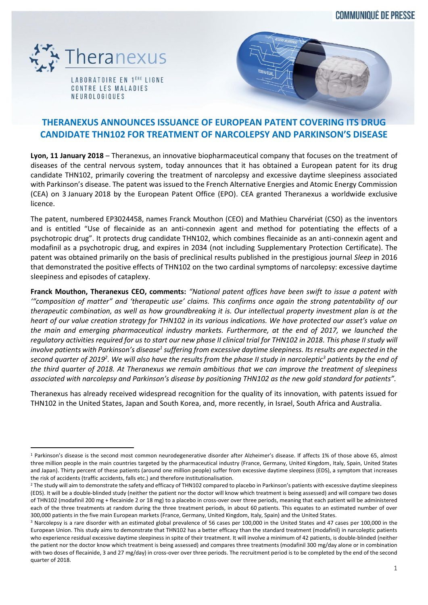**COMMUNIQUÉ DE PRESSE** 



 $\overline{a}$ 

LABORATOIRE EN 1<sup>ERE</sup> LIGNE CONTRE LES MALADIES **NEUROLOGIQUES** 



# **THERANEXUS ANNOUNCES ISSUANCE OF EUROPEAN PATENT COVERING ITS DRUG CANDIDATE THN102 FOR TREATMENT OF NARCOLEPSY AND PARKINSON'S DISEASE**

**Lyon, 11 January 2018** – Theranexus, an innovative biopharmaceutical company that focuses on the treatment of diseases of the central nervous system, today announces that it has obtained a European patent for its drug candidate THN102, primarily covering the treatment of narcolepsy and excessive daytime sleepiness associated with Parkinson's disease. The patent was issued to the French Alternative Energies and Atomic Energy Commission (CEA) on 3 January 2018 by the European Patent Office (EPO). CEA granted Theranexus a worldwide exclusive licence.

The patent, numbered EP3024458, names Franck Mouthon (CEO) and Mathieu Charvériat (CSO) as the inventors and is entitled "Use of flecainide as an anti-connexin agent and method for potentiating the effects of a psychotropic drug". It protects drug candidate THN102, which combines flecainide as an anti-connexin agent and modafinil as a psychotropic drug, and expires in 2034 (not including Supplementary Protection Certificate). The patent was obtained primarily on the basis of preclinical results published in the prestigious journal *Sleep* in 2016 that demonstrated the positive effects of THN102 on the two cardinal symptoms of narcolepsy: excessive daytime sleepiness and episodes of cataplexy.

**Franck Mouthon, Theranexus CEO, comments:** *"National patent offices have been swift to issue a patent with '"composition of matter" and 'therapeutic use' claims. This confirms once again the strong patentability of our therapeutic combination, as well as how groundbreaking it is. Our intellectual property investment plan is at the heart of our value creation strategy for THN102 in its various indications. We have protected our asset's value on the main and emerging pharmaceutical industry markets. Furthermore, at the end of 2017, we launched the regulatory activities required for us to start our new phase II clinical trial for THN102 in 2018. This phase II study will involve patients with Parkinson's disease<sup>1</sup> suffering from excessive daytime sleepiness. Itsresults are expected in the second quarter of 2019<sup>2</sup> . We will also have the results from the phase II study in narcoleptic<sup>3</sup> patients by the end of the third quarter of 2018. At Theranexus we remain ambitious that we can improve the treatment of sleepiness associated with narcolepsy and Parkinson's disease by positioning THN102 as the new gold standard for patients".*

Theranexus has already received widespread recognition for the quality of its innovation, with patents issued for THN102 in the United States, Japan and South Korea, and, more recently, in Israel, South Africa and Australia.

<sup>&</sup>lt;sup>1</sup> Parkinson's disease is the second most common neurodegenerative disorder after Alzheimer's disease. If affects 1% of those above 65, almost three million people in the main countries targeted by the pharmaceutical industry (France, Germany, United Kingdom, Italy, Spain, United States and Japan). Thirty percent of these patients (around one million people) suffer from excessive daytime sleepiness (EDS), a symptom that increases the risk of accidents (traffic accidents, falls etc.) and therefore institutionalisation.

<sup>&</sup>lt;sup>2</sup> The study will aim to demonstrate the safety and efficacy of THN102 compared to placebo in Parkinson's patients with excessive daytime sleepiness (EDS). It will be a double-blinded study (neither the patient nor the doctor will know which treatment is being assessed) and will compare two doses of THN102 (modafinil 200 mg + flecainide 2 or 18 mg) to a placebo in cross-over over three periods, meaning that each patient will be administered each of the three treatments at random during the three treatment periods, in about 60 patients. This equates to an estimated number of over 300,000 patients in the five main European markets (France, Germany, United Kingdom, Italy, Spain) and the United States.

<sup>&</sup>lt;sup>3</sup> Narcolepsy is a rare disorder with an estimated global prevalence of 56 cases per 100,000 in the United States and 47 cases per 100,000 in the European Union. This study aims to demonstrate that THN102 has a better efficacy than the standard treatment (modafinil) in narcoleptic patients who experience residual excessive daytime sleepiness in spite of their treatment. It will involve a minimum of 42 patients, is double-blinded (neither the patient nor the doctor know which treatment is being assessed) and compares three treatments (modafinil 300 mg/day alone or in combination with two doses of flecainide, 3 and 27 mg/day) in cross-over over three periods. The recruitment period is to be completed by the end of the second quarter of 2018.